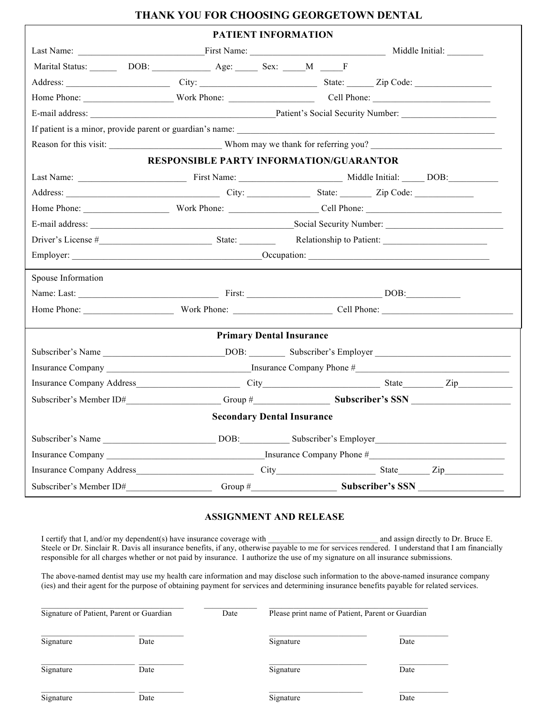## **THANK YOU FOR CHOOSING GEORGETOWN DENTAL**

|                                                                 | PATIENT INFORMATION                     |                                 |  |  |  |  |  |  |
|-----------------------------------------------------------------|-----------------------------------------|---------------------------------|--|--|--|--|--|--|
|                                                                 |                                         |                                 |  |  |  |  |  |  |
|                                                                 | Marital Status: DOB: DOB: Age: Sex: M F |                                 |  |  |  |  |  |  |
|                                                                 |                                         |                                 |  |  |  |  |  |  |
| Home Phone: Work Phone: Cell Phone: Cell Phone:                 |                                         |                                 |  |  |  |  |  |  |
|                                                                 |                                         |                                 |  |  |  |  |  |  |
|                                                                 |                                         |                                 |  |  |  |  |  |  |
|                                                                 |                                         |                                 |  |  |  |  |  |  |
| <b>RESPONSIBLE PARTY INFORMATION/GUARANTOR</b>                  |                                         |                                 |  |  |  |  |  |  |
|                                                                 |                                         |                                 |  |  |  |  |  |  |
|                                                                 |                                         |                                 |  |  |  |  |  |  |
|                                                                 |                                         |                                 |  |  |  |  |  |  |
| E-mail address: Social Security Number: Social Security Number: |                                         |                                 |  |  |  |  |  |  |
|                                                                 |                                         |                                 |  |  |  |  |  |  |
|                                                                 |                                         |                                 |  |  |  |  |  |  |
| Spouse Information                                              |                                         |                                 |  |  |  |  |  |  |
|                                                                 |                                         |                                 |  |  |  |  |  |  |
| Home Phone: Work Phone: Cell Phone: Cell Phone:                 |                                         |                                 |  |  |  |  |  |  |
|                                                                 |                                         |                                 |  |  |  |  |  |  |
|                                                                 |                                         | <b>Primary Dental Insurance</b> |  |  |  |  |  |  |
|                                                                 |                                         |                                 |  |  |  |  |  |  |
|                                                                 |                                         |                                 |  |  |  |  |  |  |
|                                                                 |                                         |                                 |  |  |  |  |  |  |
| Subscriber's Member ID# Group # Subscriber's SSN                |                                         |                                 |  |  |  |  |  |  |
|                                                                 | <b>Secondary Dental Insurance</b>       |                                 |  |  |  |  |  |  |
|                                                                 |                                         |                                 |  |  |  |  |  |  |
|                                                                 |                                         |                                 |  |  |  |  |  |  |
|                                                                 |                                         |                                 |  |  |  |  |  |  |
|                                                                 |                                         |                                 |  |  |  |  |  |  |

## **ASSIGNMENT AND RELEASE**

I certify that I, and/or my dependent(s) have insurance coverage with and assign directly to Dr. Bruce E. Steele or Dr. Sinclair R. Davis all insurance benefits, if any, otherwise payable to me for services rendered. I understand that I am financially responsible for all charges whether or not paid by insurance. I authorize the use of my signature on all insurance submissions.

The above-named dentist may use my health care information and may disclose such information to the above-named insurance company (ies) and their agent for the purpose of obtaining payment for services and determining insurance benefits payable for related services.

|           | Signature of Patient, Parent or Guardian | Date | Please print name of Patient, Parent or Guardian |      |
|-----------|------------------------------------------|------|--------------------------------------------------|------|
| Signature | Date                                     |      | Signature                                        | Date |
| Signature | Date                                     |      | Signature                                        | Date |
| Signature | Date                                     |      | Signature                                        | Date |